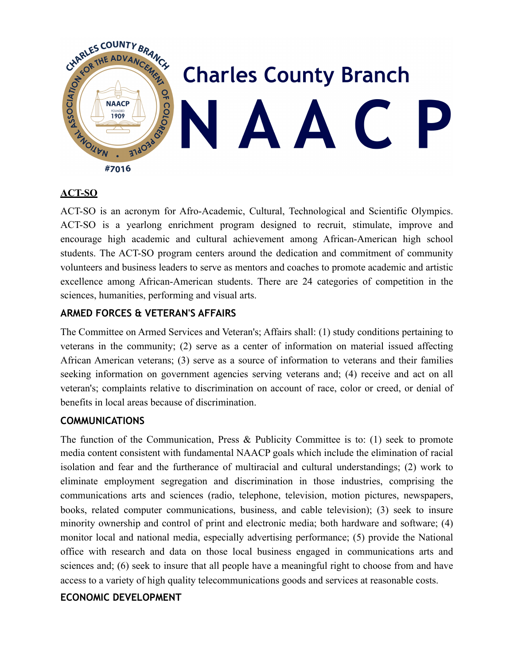

### **ACT-SO**

ACT-SO is an acronym for Afro-Academic, Cultural, Technological and Scientific Olympics. ACT-SO is a yearlong enrichment program designed to recruit, stimulate, improve and encourage high academic and cultural achievement among African-American high school students. The ACT-SO program centers around the dedication and commitment of community volunteers and business leaders to serve as mentors and coaches to promote academic and artistic excellence among African-American students. There are 24 categories of competition in the sciences, humanities, performing and visual arts.

### **ARMED FORCES & VETERAN'S AFFAIRS**

The Committee on Armed Services and Veteran's; Affairs shall: (1) study conditions pertaining to veterans in the community; (2) serve as a center of information on material issued affecting African American veterans; (3) serve as a source of information to veterans and their families seeking information on government agencies serving veterans and; (4) receive and act on all veteran's; complaints relative to discrimination on account of race, color or creed, or denial of benefits in local areas because of discrimination.

## **COMMUNICATIONS**

The function of the Communication, Press & Publicity Committee is to: (1) seek to promote media content consistent with fundamental NAACP goals which include the elimination of racial isolation and fear and the furtherance of multiracial and cultural understandings; (2) work to eliminate employment segregation and discrimination in those industries, comprising the communications arts and sciences (radio, telephone, television, motion pictures, newspapers, books, related computer communications, business, and cable television); (3) seek to insure minority ownership and control of print and electronic media; both hardware and software; (4) monitor local and national media, especially advertising performance; (5) provide the National office with research and data on those local business engaged in communications arts and sciences and; (6) seek to insure that all people have a meaningful right to choose from and have access to a variety of high quality telecommunications goods and services at reasonable costs.

### **ECONOMIC DEVELOPMENT**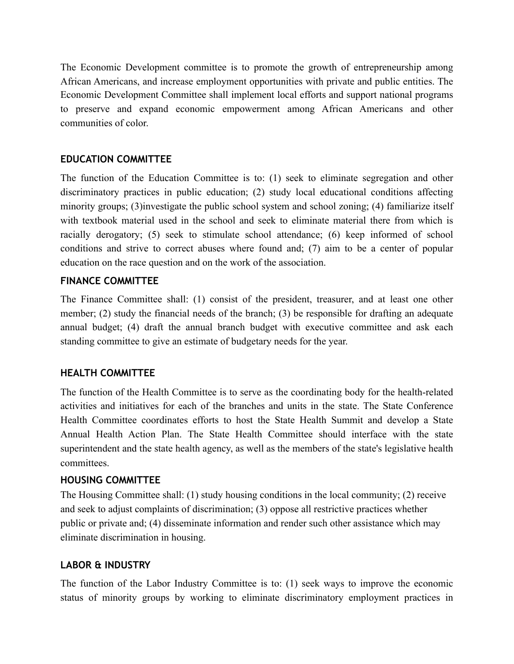The Economic Development committee is to promote the growth of entrepreneurship among African Americans, and increase employment opportunities with private and public entities. The Economic Development Committee shall implement local efforts and support national programs to preserve and expand economic empowerment among African Americans and other communities of color.

### **EDUCATION COMMITTEE**

The function of the Education Committee is to: (1) seek to eliminate segregation and other discriminatory practices in public education; (2) study local educational conditions affecting minority groups; (3)investigate the public school system and school zoning; (4) familiarize itself with textbook material used in the school and seek to eliminate material there from which is racially derogatory; (5) seek to stimulate school attendance; (6) keep informed of school conditions and strive to correct abuses where found and; (7) aim to be a center of popular education on the race question and on the work of the association.

### **FINANCE COMMITTEE**

The Finance Committee shall: (1) consist of the president, treasurer, and at least one other member; (2) study the financial needs of the branch; (3) be responsible for drafting an adequate annual budget; (4) draft the annual branch budget with executive committee and ask each standing committee to give an estimate of budgetary needs for the year.

### **HEALTH COMMITTEE**

The function of the Health Committee is to serve as the coordinating body for the health-related activities and initiatives for each of the branches and units in the state. The State Conference Health Committee coordinates efforts to host the State Health Summit and develop a State Annual Health Action Plan. The State Health Committee should interface with the state superintendent and the state health agency, as well as the members of the state's legislative health committees.

### **HOUSING COMMITTEE**

The Housing Committee shall: (1) study housing conditions in the local community; (2) receive and seek to adjust complaints of discrimination; (3) oppose all restrictive practices whether public or private and; (4) disseminate information and render such other assistance which may eliminate discrimination in housing.

## **LABOR & INDUSTRY**

The function of the Labor Industry Committee is to: (1) seek ways to improve the economic status of minority groups by working to eliminate discriminatory employment practices in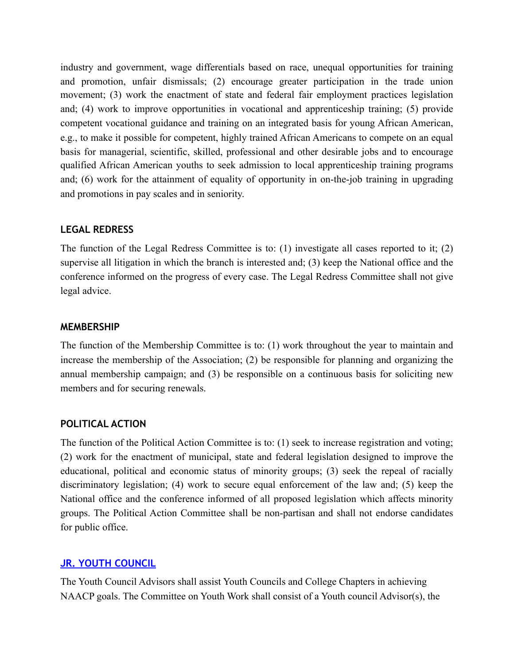industry and government, wage differentials based on race, unequal opportunities for training and promotion, unfair dismissals; (2) encourage greater participation in the trade union movement; (3) work the enactment of state and federal fair employment practices legislation and; (4) work to improve opportunities in vocational and apprenticeship training; (5) provide competent vocational guidance and training on an integrated basis for young African American, e.g., to make it possible for competent, highly trained African Americans to compete on an equal basis for managerial, scientific, skilled, professional and other desirable jobs and to encourage qualified African American youths to seek admission to local apprenticeship training programs and; (6) work for the attainment of equality of opportunity in on-the-job training in upgrading and promotions in pay scales and in seniority.

#### **LEGAL REDRESS**

The function of the Legal Redress Committee is to: (1) investigate all cases reported to it; (2) supervise all litigation in which the branch is interested and; (3) keep the National office and the conference informed on the progress of every case. The Legal Redress Committee shall not give legal advice.

#### **MEMBERSHIP**

The function of the Membership Committee is to: (1) work throughout the year to maintain and increase the membership of the Association; (2) be responsible for planning and organizing the annual membership campaign; and (3) be responsible on a continuous basis for soliciting new members and for securing renewals.

#### **POLITICAL ACTION**

The function of the Political Action Committee is to: (1) seek to increase registration and voting; (2) work for the enactment of municipal, state and federal legislation designed to improve the educational, political and economic status of minority groups; (3) seek the repeal of racially discriminatory legislation; (4) work to secure equal enforcement of the law and; (5) keep the National office and the conference informed of all proposed legislation which affects minority groups. The Political Action Committee shall be non-partisan and shall not endorse candidates for public office.

#### **[JR. YOUTH COUNCIL](http://www.naacppgc.org/#%2521jr-youth-council/c3kj)**

The Youth Council Advisors shall assist Youth Councils and College Chapters in achieving NAACP goals. The Committee on Youth Work shall consist of a Youth council Advisor(s), the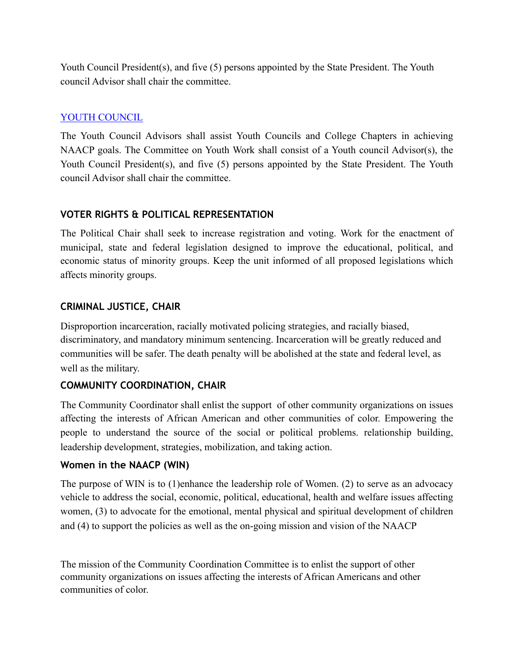Youth Council President(s), and five (5) persons appointed by the State President. The Youth council Advisor shall chair the committee.

# [YOUTH COUNCIL](http://www.naacppgc.org/#%2521youth-division/cbit)

The Youth Council Advisors shall assist Youth Councils and College Chapters in achieving NAACP goals. The Committee on Youth Work shall consist of a Youth council Advisor(s), the Youth Council President(s), and five (5) persons appointed by the State President. The Youth council Advisor shall chair the committee.

# **VOTER RIGHTS & POLITICAL REPRESENTATION**

The Political Chair shall seek to increase registration and voting. Work for the enactment of municipal, state and federal legislation designed to improve the educational, political, and economic status of minority groups. Keep the unit informed of all proposed legislations which affects minority groups.

## **CRIMINAL JUSTICE, CHAIR**

Disproportion incarceration, racially motivated policing strategies, and racially biased, discriminatory, and mandatory minimum sentencing. Incarceration will be greatly reduced and communities will be safer. The death penalty will be abolished at the state and federal level, as well as the military.

# **COMMUNITY COORDINATION, CHAIR**

The Community Coordinator shall enlist the support of other community organizations on issues affecting the interests of African American and other communities of color. Empowering the people to understand the source of the social or political problems. relationship building, leadership development, strategies, mobilization, and taking action.

## **Women in the NAACP (WIN)**

The purpose of WIN is to (1)enhance the leadership role of Women. (2) to serve as an advocacy vehicle to address the social, economic, political, educational, health and welfare issues affecting women, (3) to advocate for the emotional, mental physical and spiritual development of children and (4) to support the policies as well as the on-going mission and vision of the NAACP

The mission of the Community Coordination Committee is to enlist the support of other community organizations on issues affecting the interests of African Americans and other communities of color.